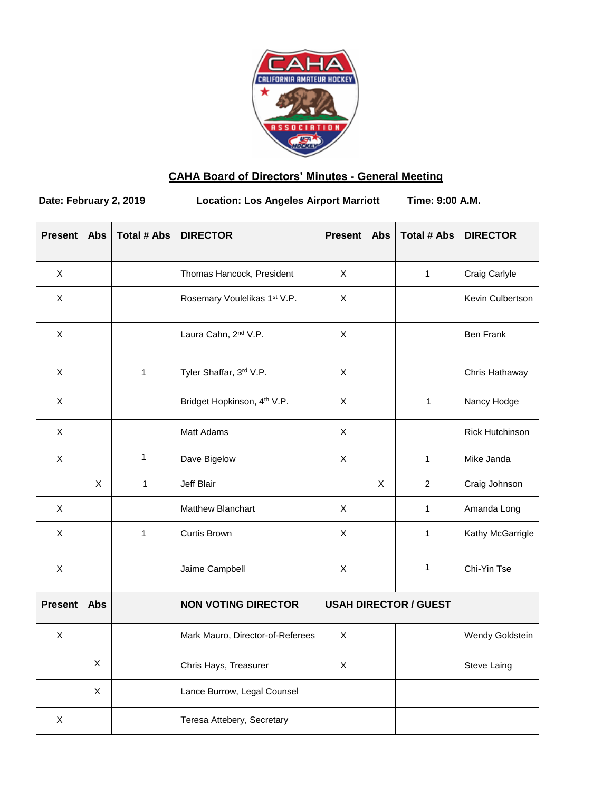

# **CAHA Board of Directors' Minutes - General Meeting**

**Date: February 2, 2019 Location: Los Angeles Airport Marriott Time: 9:00 A.M.**

| <b>Present</b>            | <b>Abs</b>  | <b>Total # Abs</b> | <b>DIRECTOR</b>                         | <b>Present</b>               | <b>Abs</b> | <b>Total # Abs</b> | <b>DIRECTOR</b>        |
|---------------------------|-------------|--------------------|-----------------------------------------|------------------------------|------------|--------------------|------------------------|
| X                         |             |                    | Thomas Hancock, President               | X                            |            | $\mathbf{1}$       | Craig Carlyle          |
| $\boldsymbol{\mathsf{X}}$ |             |                    | Rosemary Voulelikas 1st V.P.            | $\mathsf X$                  |            |                    | Kevin Culbertson       |
| X                         |             |                    | Laura Cahn, 2 <sup>nd</sup> V.P.        | X                            |            |                    | <b>Ben Frank</b>       |
| X                         |             | $\mathbf{1}$       | Tyler Shaffar, 3rd V.P.                 | X                            |            |                    | Chris Hathaway         |
| X                         |             |                    | Bridget Hopkinson, 4 <sup>th</sup> V.P. | $\mathsf X$                  |            | $\mathbf{1}$       | Nancy Hodge            |
| X                         |             |                    | Matt Adams                              | $\mathsf X$                  |            |                    | <b>Rick Hutchinson</b> |
| X                         |             | 1                  | Dave Bigelow                            | $\mathsf X$                  |            | $\mathbf{1}$       | Mike Janda             |
|                           | X           | $\mathbf{1}$       | Jeff Blair                              |                              | X          | $\overline{2}$     | Craig Johnson          |
| $\times$                  |             |                    | Matthew Blanchart                       | $\mathsf{X}$                 |            | 1                  | Amanda Long            |
| X                         |             | 1                  | Curtis Brown                            | X                            |            | 1                  | Kathy McGarrigle       |
| X                         |             |                    | Jaime Campbell                          | $\mathsf X$                  |            | $\mathbf{1}$       | Chi-Yin Tse            |
| <b>Present</b>            | <b>Abs</b>  |                    | <b>NON VOTING DIRECTOR</b>              | <b>USAH DIRECTOR / GUEST</b> |            |                    |                        |
| X                         |             |                    | Mark Mauro, Director-of-Referees        | $\mathsf X$                  |            |                    | Wendy Goldstein        |
|                           | X           |                    | Chris Hays, Treasurer                   | X                            |            |                    | Steve Laing            |
|                           | $\mathsf X$ |                    | Lance Burrow, Legal Counsel             |                              |            |                    |                        |
| X                         |             |                    | Teresa Attebery, Secretary              |                              |            |                    |                        |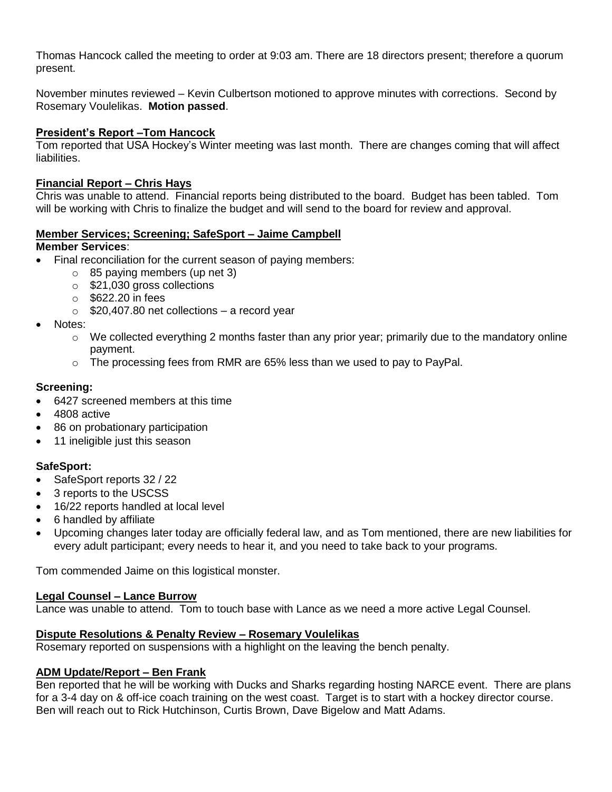Thomas Hancock called the meeting to order at 9:03 am. There are 18 directors present; therefore a quorum present.

November minutes reviewed – Kevin Culbertson motioned to approve minutes with corrections. Second by Rosemary Voulelikas. **Motion passed**.

## **President's Report –Tom Hancock**

Tom reported that USA Hockey's Winter meeting was last month. There are changes coming that will affect liabilities.

### **Financial Report – Chris Hays**

Chris was unable to attend. Financial reports being distributed to the board. Budget has been tabled. Tom will be working with Chris to finalize the budget and will send to the board for review and approval.

### **Member Services; Screening; SafeSport – Jaime Campbell**

### **Member Services**:

- Final reconciliation for the current season of paying members:
	- $\circ$  85 paying members (up net 3)
	- o \$21,030 gross collections
	- o \$622.20 in fees
	- $\circ$  \$20,407.80 net collections a record year
- Notes:
	- $\circ$  We collected everything 2 months faster than any prior year; primarily due to the mandatory online payment.
	- o The processing fees from RMR are 65% less than we used to pay to PayPal.

### **Screening:**

- 6427 screened members at this time
- 4808 active
- 86 on probationary participation
- 11 ineligible just this season

#### **SafeSport:**

- SafeSport reports 32 / 22
- 3 reports to the USCSS
- 16/22 reports handled at local level
- 6 handled by affiliate
- Upcoming changes later today are officially federal law, and as Tom mentioned, there are new liabilities for every adult participant; every needs to hear it, and you need to take back to your programs.

Tom commended Jaime on this logistical monster.

#### **Legal Counsel – Lance Burrow**

Lance was unable to attend. Tom to touch base with Lance as we need a more active Legal Counsel.

#### **Dispute Resolutions & Penalty Review – Rosemary Voulelikas**

Rosemary reported on suspensions with a highlight on the leaving the bench penalty.

## **ADM Update/Report – Ben Frank**

Ben reported that he will be working with Ducks and Sharks regarding hosting NARCE event. There are plans for a 3-4 day on & off-ice coach training on the west coast. Target is to start with a hockey director course. Ben will reach out to Rick Hutchinson, Curtis Brown, Dave Bigelow and Matt Adams.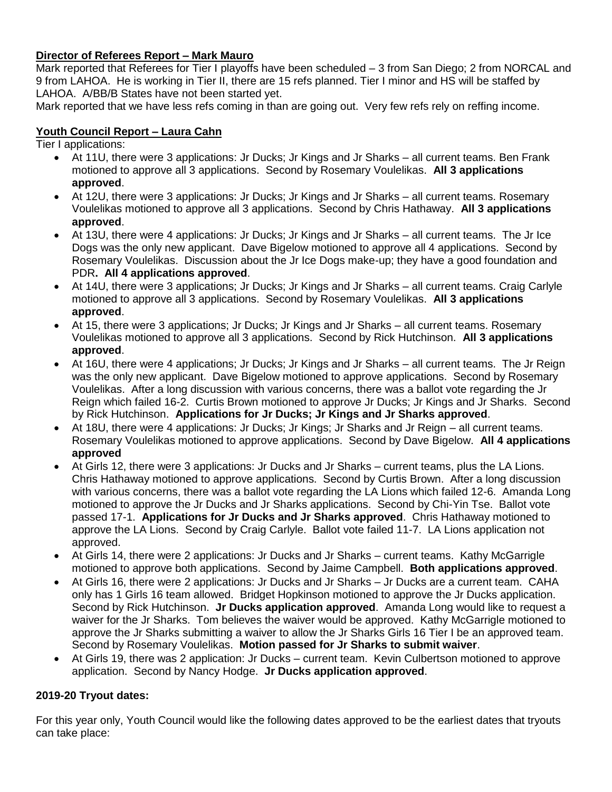## **Director of Referees Report – Mark Mauro**

Mark reported that Referees for Tier I playoffs have been scheduled – 3 from San Diego; 2 from NORCAL and 9 from LAHOA. He is working in Tier II, there are 15 refs planned. Tier I minor and HS will be staffed by LAHOA. A/BB/B States have not been started yet.

Mark reported that we have less refs coming in than are going out. Very few refs rely on reffing income.

## **Youth Council Report – Laura Cahn**

Tier I applications:

- At 11U, there were 3 applications: Jr Ducks; Jr Kings and Jr Sharks all current teams. Ben Frank motioned to approve all 3 applications. Second by Rosemary Voulelikas. **All 3 applications approved**.
- At 12U, there were 3 applications: Jr Ducks; Jr Kings and Jr Sharks all current teams. Rosemary Voulelikas motioned to approve all 3 applications. Second by Chris Hathaway. **All 3 applications approved**.
- At 13U, there were 4 applications: Jr Ducks; Jr Kings and Jr Sharks all current teams. The Jr Ice Dogs was the only new applicant. Dave Bigelow motioned to approve all 4 applications. Second by Rosemary Voulelikas. Discussion about the Jr Ice Dogs make-up; they have a good foundation and PDR**. All 4 applications approved**.
- At 14U, there were 3 applications; Jr Ducks; Jr Kings and Jr Sharks all current teams. Craig Carlyle motioned to approve all 3 applications. Second by Rosemary Voulelikas. **All 3 applications approved**.
- At 15, there were 3 applications; Jr Ducks; Jr Kings and Jr Sharks all current teams. Rosemary Voulelikas motioned to approve all 3 applications. Second by Rick Hutchinson. **All 3 applications approved**.
- At 16U, there were 4 applications; Jr Ducks; Jr Kings and Jr Sharks all current teams. The Jr Reign was the only new applicant. Dave Bigelow motioned to approve applications. Second by Rosemary Voulelikas. After a long discussion with various concerns, there was a ballot vote regarding the Jr Reign which failed 16-2. Curtis Brown motioned to approve Jr Ducks; Jr Kings and Jr Sharks. Second by Rick Hutchinson. **Applications for Jr Ducks; Jr Kings and Jr Sharks approved**.
- At 18U, there were 4 applications: Jr Ducks; Jr Kings; Jr Sharks and Jr Reign all current teams. Rosemary Voulelikas motioned to approve applications. Second by Dave Bigelow. **All 4 applications approved**
- At Girls 12, there were 3 applications: Jr Ducks and Jr Sharks current teams, plus the LA Lions. Chris Hathaway motioned to approve applications. Second by Curtis Brown. After a long discussion with various concerns, there was a ballot vote regarding the LA Lions which failed 12-6. Amanda Long motioned to approve the Jr Ducks and Jr Sharks applications. Second by Chi-Yin Tse. Ballot vote passed 17-1. **Applications for Jr Ducks and Jr Sharks approved**. Chris Hathaway motioned to approve the LA Lions. Second by Craig Carlyle. Ballot vote failed 11-7. LA Lions application not approved.
- At Girls 14, there were 2 applications: Jr Ducks and Jr Sharks current teams. Kathy McGarrigle motioned to approve both applications. Second by Jaime Campbell. **Both applications approved**.
- At Girls 16, there were 2 applications: Jr Ducks and Jr Sharks Jr Ducks are a current team. CAHA only has 1 Girls 16 team allowed. Bridget Hopkinson motioned to approve the Jr Ducks application. Second by Rick Hutchinson. **Jr Ducks application approved**. Amanda Long would like to request a waiver for the Jr Sharks. Tom believes the waiver would be approved. Kathy McGarrigle motioned to approve the Jr Sharks submitting a waiver to allow the Jr Sharks Girls 16 Tier I be an approved team. Second by Rosemary Voulelikas. **Motion passed for Jr Sharks to submit waiver**.
- At Girls 19, there was 2 application: Jr Ducks current team. Kevin Culbertson motioned to approve application. Second by Nancy Hodge. **Jr Ducks application approved**.

## **2019-20 Tryout dates:**

For this year only, Youth Council would like the following dates approved to be the earliest dates that tryouts can take place: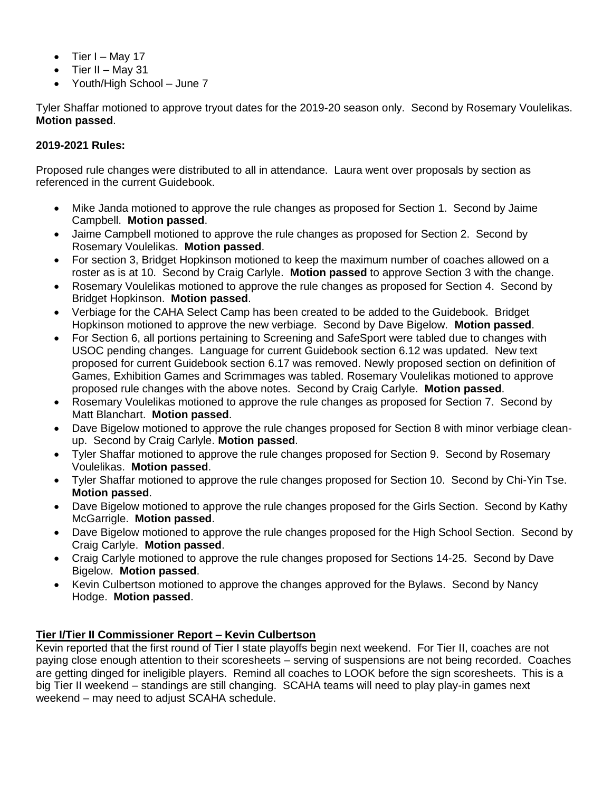- $\bullet$  Tier I May 17
- Tier II May 31
- Youth/High School June 7

Tyler Shaffar motioned to approve tryout dates for the 2019-20 season only. Second by Rosemary Voulelikas. **Motion passed**.

## **2019-2021 Rules:**

Proposed rule changes were distributed to all in attendance. Laura went over proposals by section as referenced in the current Guidebook.

- Mike Janda motioned to approve the rule changes as proposed for Section 1. Second by Jaime Campbell. **Motion passed**.
- Jaime Campbell motioned to approve the rule changes as proposed for Section 2. Second by Rosemary Voulelikas. **Motion passed**.
- For section 3, Bridget Hopkinson motioned to keep the maximum number of coaches allowed on a roster as is at 10. Second by Craig Carlyle. **Motion passed** to approve Section 3 with the change.
- Rosemary Voulelikas motioned to approve the rule changes as proposed for Section 4. Second by Bridget Hopkinson. **Motion passed**.
- Verbiage for the CAHA Select Camp has been created to be added to the Guidebook. Bridget Hopkinson motioned to approve the new verbiage. Second by Dave Bigelow. **Motion passed**.
- For Section 6, all portions pertaining to Screening and SafeSport were tabled due to changes with USOC pending changes. Language for current Guidebook section 6.12 was updated. New text proposed for current Guidebook section 6.17 was removed. Newly proposed section on definition of Games, Exhibition Games and Scrimmages was tabled. Rosemary Voulelikas motioned to approve proposed rule changes with the above notes. Second by Craig Carlyle. **Motion passed**.
- Rosemary Voulelikas motioned to approve the rule changes as proposed for Section 7. Second by Matt Blanchart. **Motion passed**.
- Dave Bigelow motioned to approve the rule changes proposed for Section 8 with minor verbiage cleanup. Second by Craig Carlyle. **Motion passed**.
- Tyler Shaffar motioned to approve the rule changes proposed for Section 9. Second by Rosemary Voulelikas. **Motion passed**.
- Tyler Shaffar motioned to approve the rule changes proposed for Section 10. Second by Chi-Yin Tse. **Motion passed**.
- Dave Bigelow motioned to approve the rule changes proposed for the Girls Section. Second by Kathy McGarrigle. **Motion passed**.
- Dave Bigelow motioned to approve the rule changes proposed for the High School Section. Second by Craig Carlyle. **Motion passed**.
- Craig Carlyle motioned to approve the rule changes proposed for Sections 14-25. Second by Dave Bigelow. **Motion passed**.
- Kevin Culbertson motioned to approve the changes approved for the Bylaws. Second by Nancy Hodge. **Motion passed**.

## **Tier I/Tier II Commissioner Report – Kevin Culbertson**

Kevin reported that the first round of Tier I state playoffs begin next weekend. For Tier II, coaches are not paying close enough attention to their scoresheets – serving of suspensions are not being recorded. Coaches are getting dinged for ineligible players. Remind all coaches to LOOK before the sign scoresheets. This is a big Tier II weekend – standings are still changing. SCAHA teams will need to play play-in games next weekend – may need to adjust SCAHA schedule.